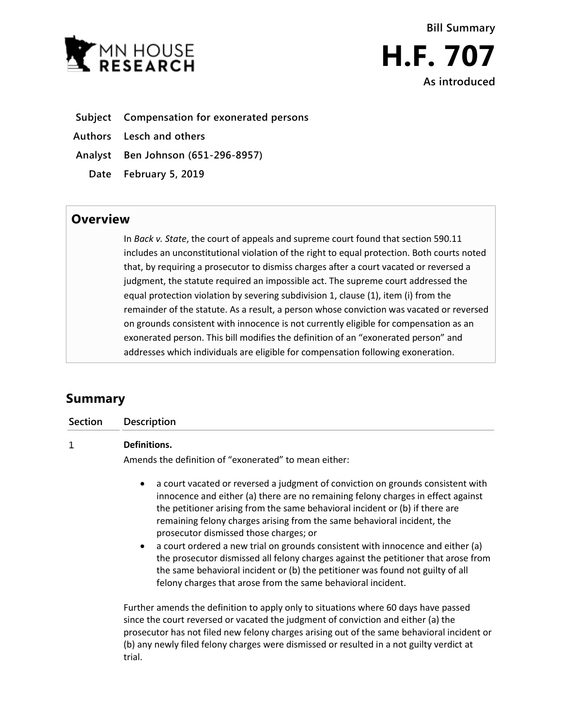

**Subject Compensation for exonerated persons**

**Authors Lesch and others**

**Analyst Ben Johnson (651-296-8957)**

**Date February 5, 2019**

## **Overview**

In *Back v. State*, the court of appeals and supreme court found that section 590.11 includes an unconstitutional violation of the right to equal protection. Both courts noted that, by requiring a prosecutor to dismiss charges after a court vacated or reversed a judgment, the statute required an impossible act. The supreme court addressed the equal protection violation by severing subdivision 1, clause (1), item (i) from the remainder of the statute. As a result, a person whose conviction was vacated or reversed on grounds consistent with innocence is not currently eligible for compensation as an exonerated person. This bill modifies the definition of an "exonerated person" and addresses which individuals are eligible for compensation following exoneration.

# **Summary**

**Section Description**

#### $\mathbf 1$ **Definitions.**

Amends the definition of "exonerated" to mean either:

- a court vacated or reversed a judgment of conviction on grounds consistent with innocence and either (a) there are no remaining felony charges in effect against the petitioner arising from the same behavioral incident or (b) if there are remaining felony charges arising from the same behavioral incident, the prosecutor dismissed those charges; or
- a court ordered a new trial on grounds consistent with innocence and either (a) the prosecutor dismissed all felony charges against the petitioner that arose from the same behavioral incident or (b) the petitioner was found not guilty of all felony charges that arose from the same behavioral incident.

Further amends the definition to apply only to situations where 60 days have passed since the court reversed or vacated the judgment of conviction and either (a) the prosecutor has not filed new felony charges arising out of the same behavioral incident or (b) any newly filed felony charges were dismissed or resulted in a not guilty verdict at trial.